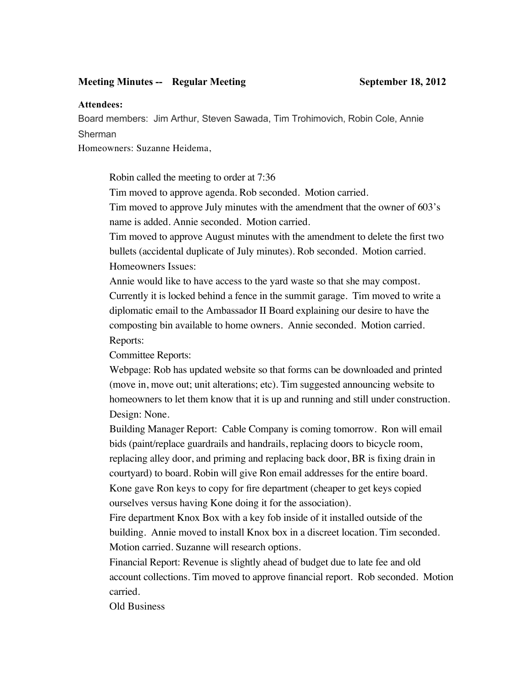## **Meeting Minutes -- Regular Meeting September 18, 2012**

## **Attendees:**

Board members: Jim Arthur, Steven Sawada, Tim Trohimovich, Robin Cole, Annie Sherman

Homeowners: Suzanne Heidema,

Robin called the meeting to order at 7:36

Tim moved to approve agenda. Rob seconded. Motion carried.

Tim moved to approve July minutes with the amendment that the owner of 603's name is added. Annie seconded. Motion carried.

Tim moved to approve August minutes with the amendment to delete the first two bullets (accidental duplicate of July minutes). Rob seconded. Motion carried. Homeowners Issues:

Annie would like to have access to the yard waste so that she may compost. Currently it is locked behind a fence in the summit garage. Tim moved to write a diplomatic email to the Ambassador II Board explaining our desire to have the composting bin available to home owners. Annie seconded. Motion carried. Reports:

Committee Reports:

Webpage: Rob has updated website so that forms can be downloaded and printed (move in, move out; unit alterations; etc). Tim suggested announcing website to homeowners to let them know that it is up and running and still under construction. Design: None.

Building Manager Report: Cable Company is coming tomorrow. Ron will email bids (paint/replace guardrails and handrails, replacing doors to bicycle room, replacing alley door, and priming and replacing back door, BR is fixing drain in courtyard) to board. Robin will give Ron email addresses for the entire board. Kone gave Ron keys to copy for fire department (cheaper to get keys copied ourselves versus having Kone doing it for the association).

Fire department Knox Box with a key fob inside of it installed outside of the building. Annie moved to install Knox box in a discreet location. Tim seconded. Motion carried. Suzanne will research options.

Financial Report: Revenue is slightly ahead of budget due to late fee and old account collections. Tim moved to approve financial report. Rob seconded. Motion carried.

Old Business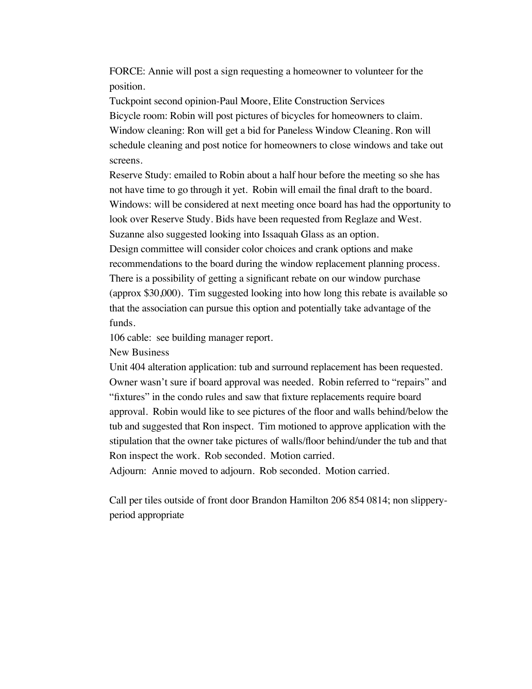FORCE: Annie will post a sign requesting a homeowner to volunteer for the position.

Tuckpoint second opinion-Paul Moore, Elite Construction Services Bicycle room: Robin will post pictures of bicycles for homeowners to claim. Window cleaning: Ron will get a bid for Paneless Window Cleaning. Ron will schedule cleaning and post notice for homeowners to close windows and take out screens.

Reserve Study: emailed to Robin about a half hour before the meeting so she has not have time to go through it yet. Robin will email the final draft to the board. Windows: will be considered at next meeting once board has had the opportunity to look over Reserve Study. Bids have been requested from Reglaze and West. Suzanne also suggested looking into Issaquah Glass as an option. Design committee will consider color choices and crank options and make

recommendations to the board during the window replacement planning process. There is a possibility of getting a significant rebate on our window purchase (approx \$30,000). Tim suggested looking into how long this rebate is available so that the association can pursue this option and potentially take advantage of the funds.

106 cable: see building manager report.

New Business

Unit 404 alteration application: tub and surround replacement has been requested. Owner wasn't sure if board approval was needed. Robin referred to "repairs" and "fixtures" in the condo rules and saw that fixture replacements require board approval. Robin would like to see pictures of the floor and walls behind/below the tub and suggested that Ron inspect. Tim motioned to approve application with the stipulation that the owner take pictures of walls/floor behind/under the tub and that Ron inspect the work. Rob seconded. Motion carried.

Adjourn: Annie moved to adjourn. Rob seconded. Motion carried.

Call per tiles outside of front door Brandon Hamilton 206 854 0814; non slipperyperiod appropriate